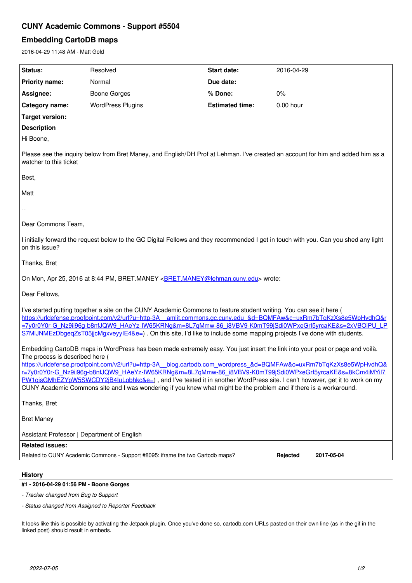# **CUNY Academic Commons - Support #5504**

# **Embedding CartoDB maps**

2016-04-29 11:48 AM - Matt Gold

| Status:                                                                                                                                                                                                                                                                                                                                                                                                                                                                                                                                                                                                                                                             | Resolved                 | Start date:            | 2016-04-29 |
|---------------------------------------------------------------------------------------------------------------------------------------------------------------------------------------------------------------------------------------------------------------------------------------------------------------------------------------------------------------------------------------------------------------------------------------------------------------------------------------------------------------------------------------------------------------------------------------------------------------------------------------------------------------------|--------------------------|------------------------|------------|
| <b>Priority name:</b>                                                                                                                                                                                                                                                                                                                                                                                                                                                                                                                                                                                                                                               | Normal                   | Due date:              |            |
| Assignee:                                                                                                                                                                                                                                                                                                                                                                                                                                                                                                                                                                                                                                                           | <b>Boone Gorges</b>      | % Done:                | 0%         |
| Category name:                                                                                                                                                                                                                                                                                                                                                                                                                                                                                                                                                                                                                                                      | <b>WordPress Plugins</b> | <b>Estimated time:</b> | 0.00 hour  |
| <b>Target version:</b>                                                                                                                                                                                                                                                                                                                                                                                                                                                                                                                                                                                                                                              |                          |                        |            |
| <b>Description</b>                                                                                                                                                                                                                                                                                                                                                                                                                                                                                                                                                                                                                                                  |                          |                        |            |
| Hi Boone,                                                                                                                                                                                                                                                                                                                                                                                                                                                                                                                                                                                                                                                           |                          |                        |            |
| Please see the inquiry below from Bret Maney, and English/DH Prof at Lehman. I've created an account for him and added him as a<br>watcher to this ticket                                                                                                                                                                                                                                                                                                                                                                                                                                                                                                           |                          |                        |            |
| Best,                                                                                                                                                                                                                                                                                                                                                                                                                                                                                                                                                                                                                                                               |                          |                        |            |
| Matt                                                                                                                                                                                                                                                                                                                                                                                                                                                                                                                                                                                                                                                                |                          |                        |            |
|                                                                                                                                                                                                                                                                                                                                                                                                                                                                                                                                                                                                                                                                     |                          |                        |            |
| Dear Commons Team,                                                                                                                                                                                                                                                                                                                                                                                                                                                                                                                                                                                                                                                  |                          |                        |            |
| I initially forward the request below to the GC Digital Fellows and they recommended I get in touch with you. Can you shed any light<br>on this issue?                                                                                                                                                                                                                                                                                                                                                                                                                                                                                                              |                          |                        |            |
| Thanks, Bret                                                                                                                                                                                                                                                                                                                                                                                                                                                                                                                                                                                                                                                        |                          |                        |            |
| On Mon, Apr 25, 2016 at 8:44 PM, BRET.MANEY <bret.maney@lehman.cuny.edu> wrote:</bret.maney@lehman.cuny.edu>                                                                                                                                                                                                                                                                                                                                                                                                                                                                                                                                                        |                          |                        |            |
| Dear Fellows,                                                                                                                                                                                                                                                                                                                                                                                                                                                                                                                                                                                                                                                       |                          |                        |            |
| I've started putting together a site on the CUNY Academic Commons to feature student writing. You can see it here (<br>https://urldefense.proofpoint.com/v2/url?u=http-3A amlit.commons.gc.cuny.edu &d=BQMFAw&c=uxRm7bTqKzXs8e5WpHvdhQ&r<br><u>=7y0r0Y0r-G_Nz9ii96q-b8nfJQW9_HAeYz-IW65KRNg&amp;m=8L7qMmw-86_i8VBV9-K0mT99jSdi0WPxeGrl5yrcaKE&amp;s=2xVBOiPU_LP</u><br>S7MIJNMEzDbgeqZsT05jjcMgxveyylE4&e=). On this site, I'd like to include some mapping projects I've done with students.                                                                                                                                                                       |                          |                        |            |
| Embedding CartoDB maps in WordPress has been made extremely easy. You just insert the link into your post or page and voilà.<br>The process is described here (<br>https://urldefense.proofpoint.com/v2/url?u=http-3A blog.cartodb.com wordpress &d=BQMFAw&c=uxRm7bTqKzXs8e5WpHvdhQ&<br><u>r=7y0r0Y0r-G_Nz9ii96g-b8nfJQW9_HAeYz-IW65KRNg&amp;m=8L7qMmw-86_i8VBV9-K0mT99jSdi0WPxeGrl5yrcaKE&amp;s=8kCm4iMYiI7</u><br>PW1qisGMhEZYpW5SWCDY2jB4IuLobhkc&e=), and I've tested it in another WordPress site. I can't however, get it to work on my<br>CUNY Academic Commons site and I was wondering if you knew what might be the problem and if there is a workaround. |                          |                        |            |
| Thanks, Bret                                                                                                                                                                                                                                                                                                                                                                                                                                                                                                                                                                                                                                                        |                          |                        |            |
| <b>Bret Maney</b>                                                                                                                                                                                                                                                                                                                                                                                                                                                                                                                                                                                                                                                   |                          |                        |            |
| Assistant Professor   Department of English                                                                                                                                                                                                                                                                                                                                                                                                                                                                                                                                                                                                                         |                          |                        |            |
| <b>Related issues:</b>                                                                                                                                                                                                                                                                                                                                                                                                                                                                                                                                                                                                                                              |                          |                        |            |
| Related to CUNY Academic Commons - Support #8095: iframe the two Cartodb maps?<br>Rejected<br>2017-05-04                                                                                                                                                                                                                                                                                                                                                                                                                                                                                                                                                            |                          |                        |            |
|                                                                                                                                                                                                                                                                                                                                                                                                                                                                                                                                                                                                                                                                     |                          |                        |            |

## **History**

### **#1 - 2016-04-29 01:56 PM - Boone Gorges**

*- Tracker changed from Bug to Support*

*- Status changed from Assigned to Reporter Feedback*

It looks like this is possible by activating the Jetpack plugin. Once you've done so, cartodb.com URLs pasted on their own line (as in the gif in the linked post) should result in embeds.